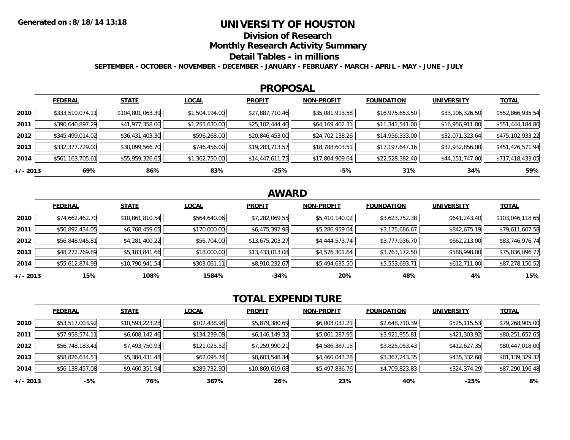### **UNIVERSITY OF HOUSTON**

**Division of Research**

**Monthly Research Activity Summary**

#### **Detail Tables - in millions**

**SEPTEMBER - OCTOBER - NOVEMBER - DECEMBER - JANUARY - FEBRUARY - MARCH - APRIL - MAY - JUNE - JULY**

#### **PROPOSAL**

|            | <b>FEDERAL</b>   | <b>STATE</b>     | <b>LOCAL</b>   | <b>PROFIT</b>   | <b>NON-PROFIT</b> | <b>FOUNDATION</b> | <b>UNIVERSITY</b> | <b>TOTAL</b>     |
|------------|------------------|------------------|----------------|-----------------|-------------------|-------------------|-------------------|------------------|
| 2010       | \$333,510,074.11 | \$104,801,063.39 | \$1,504,194.00 | \$27,887,710.46 | \$35,081,913.58   | \$16,975,653.50   | \$33,106,326.50   | \$552,866,935.54 |
| 2011       | \$390,640,897.29 | \$41,977,358.00  | \$1,255,630.00 | \$25,102,444.40 | \$64,169,402.31   | \$11,341,541.00   | \$16,956,911.80   | \$551,444,184.80 |
| 2012       | \$345,499,014.02 | \$36,431,403.30  | \$596,268.00   | \$20,846,453.00 | \$24,702,138.26   | \$14,956,333.00   | \$32,071,323.64   | \$475,102,933.22 |
| 2013       | \$332,377,729.00 | \$30,099,566.70  | \$746,456.00   | \$19,283,713.57 | \$18,788,603.51   | \$17,197,647.16   | \$32,932,856.00   | \$451,426,571.94 |
| 2014       | \$561,163,705.61 | \$55,959,326.65  | \$1,362,750.00 | \$14,447,611.75 | \$17,804,909.64   | \$22,528,382.40   | \$44,151,747.00   | \$717,418,433.05 |
| $+/- 2013$ | 69%              | 86%              | 83%            | $-25%$          | -5%               | 31%               | 34%               | 59%              |

# **AWARD**

|            | <b>FEDERAL</b>  | <b>STATE</b>    | <b>LOCAL</b> | <b>PROFIT</b>   | <b>NON-PROFIT</b> | <b>FOUNDATION</b> | <b>UNIVERSITY</b> | <b>TOTAL</b>     |
|------------|-----------------|-----------------|--------------|-----------------|-------------------|-------------------|-------------------|------------------|
| 2010       | \$74,662,462.70 | \$10,861,810.54 | \$564,640.06 | \$7,282,069.55  | \$5,410,140.02    | \$3,623,752.38    | \$641,243.40      | \$103,046,118.65 |
| 2011       | \$56,892,434.05 | \$6,768,459.05  | \$170,000.00 | \$6,475,392.98  | \$5,286,959.64    | \$3,175,686.67    | \$842,675.19      | \$79,611,607.58  |
| 2012       | \$56,848,945.81 | \$4,281,400.22  | \$56,704.00  | \$13,675,203.27 | \$4,444,573.74    | \$3,777,936.70    | \$662,213.00      | \$83,746,976.74  |
| 2013       | \$48,272,769.89 | \$5,183,841.66  | \$18,000.00  | \$13,433,013.08 | \$4,576,301.64    | \$3,763,172.50    | \$588,998.00      | \$75,836,096.77  |
| 2014       | \$55,612,874.99 | \$10,790,941.54 | \$303,061.11 | \$8,910,232.67  | \$5,494,635.50    | \$5,553,693.71    | \$612,711.00      | \$87,278,150.52  |
| $+/- 2013$ | 15%             | 108%            | 1584%        | $-34%$          | 20%               | 48%               | 4%                | 15%              |

# **TOTAL EXPENDITURE**

|          | <b>FEDERAL</b>  | <b>STATE</b>    | <b>LOCAL</b> | <b>PROFIT</b>   | <b>NON-PROFIT</b> | <b>FOUNDATION</b> | <b>UNIVERSITY</b> | <b>TOTAL</b>    |
|----------|-----------------|-----------------|--------------|-----------------|-------------------|-------------------|-------------------|-----------------|
| 2010     | \$53,517,003.92 | \$10,593,223.28 | \$102,438.98 | \$5,879,380.69  | \$6,003,032.21    | \$2,648,710.39    | \$525,115.53      | \$79,268,905.00 |
| 2011     | \$57,958,574.11 | \$6,608,142.46  | \$134,239.08 | \$6,146,149.32  | \$5,061,287.95    | \$3,921,955.81    | \$421,303.92      | \$80,251,652.65 |
| 2012     | \$56,748,183.41 | \$7,493,750.93  | \$121,025.52 | \$7,259,990.21  | \$4,586,387.15    | \$3,825,053.43    | \$412,627.35      | \$80,447,018.00 |
| 2013     | \$58,826,634.53 | \$5,384,431.48  | \$62,095.74  | \$8,603,548.34  | \$4,460,043.28    | \$3,367,243.35    | \$435,332.60      | \$81,139,329.32 |
| 2014     | \$56,138,457.08 | \$9,460,351.94  | \$289,732.90 | \$10,869,619.68 | \$5,497,836.76    | \$4,709,823.83    | \$324,374.29      | \$87,290,196.48 |
| +/- 2013 | -5%             | 76%             | 367%         | 26%             | 23%               | 40%               | $-25%$            | 8%              |